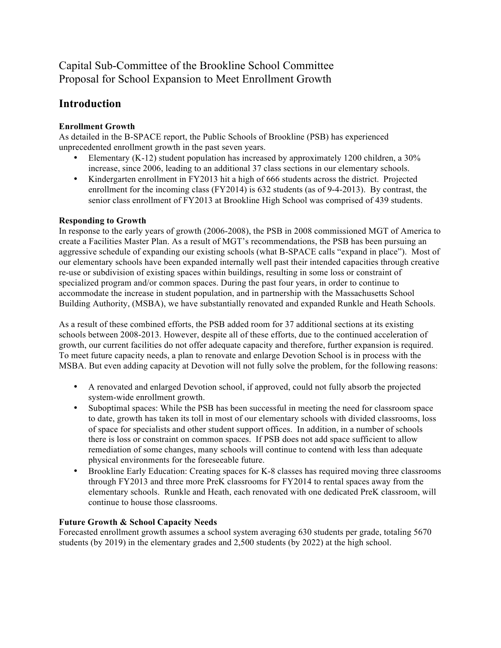# Capital Sub-Committee of the Brookline School Committee Proposal for School Expansion to Meet Enrollment Growth

## **Introduction**

#### **Enrollment Growth**

As detailed in the B-SPACE report, the Public Schools of Brookline (PSB) has experienced unprecedented enrollment growth in the past seven years.

- Elementary (K-12) student population has increased by approximately 1200 children, a 30% increase, since 2006, leading to an additional 37 class sections in our elementary schools.
- Kindergarten enrollment in FY2013 hit a high of 666 students across the district. Projected enrollment for the incoming class (FY2014) is 632 students (as of 9-4-2013). By contrast, the senior class enrollment of FY2013 at Brookline High School was comprised of 439 students.

#### **Responding to Growth**

In response to the early years of growth (2006-2008), the PSB in 2008 commissioned MGT of America to create a Facilities Master Plan. As a result of MGT's recommendations, the PSB has been pursuing an aggressive schedule of expanding our existing schools (what B-SPACE calls "expand in place"). Most of our elementary schools have been expanded internally well past their intended capacities through creative re-use or subdivision of existing spaces within buildings, resulting in some loss or constraint of specialized program and/or common spaces. During the past four years, in order to continue to accommodate the increase in student population, and in partnership with the Massachusetts School Building Authority, (MSBA), we have substantially renovated and expanded Runkle and Heath Schools.

As a result of these combined efforts, the PSB added room for 37 additional sections at its existing schools between 2008-2013. However, despite all of these efforts, due to the continued acceleration of growth, our current facilities do not offer adequate capacity and therefore, further expansion is required. To meet future capacity needs, a plan to renovate and enlarge Devotion School is in process with the MSBA. But even adding capacity at Devotion will not fully solve the problem, for the following reasons:

- A renovated and enlarged Devotion school, if approved, could not fully absorb the projected system-wide enrollment growth.
- Suboptimal spaces: While the PSB has been successful in meeting the need for classroom space to date, growth has taken its toll in most of our elementary schools with divided classrooms, loss of space for specialists and other student support offices. In addition, in a number of schools there is loss or constraint on common spaces. If PSB does not add space sufficient to allow remediation of some changes, many schools will continue to contend with less than adequate physical environments for the foreseeable future.
- Brookline Early Education: Creating spaces for K-8 classes has required moving three classrooms through FY2013 and three more PreK classrooms for FY2014 to rental spaces away from the elementary schools. Runkle and Heath, each renovated with one dedicated PreK classroom, will continue to house those classrooms.

### **Future Growth & School Capacity Needs**

Forecasted enrollment growth assumes a school system averaging 630 students per grade, totaling 5670 students (by 2019) in the elementary grades and 2,500 students (by 2022) at the high school.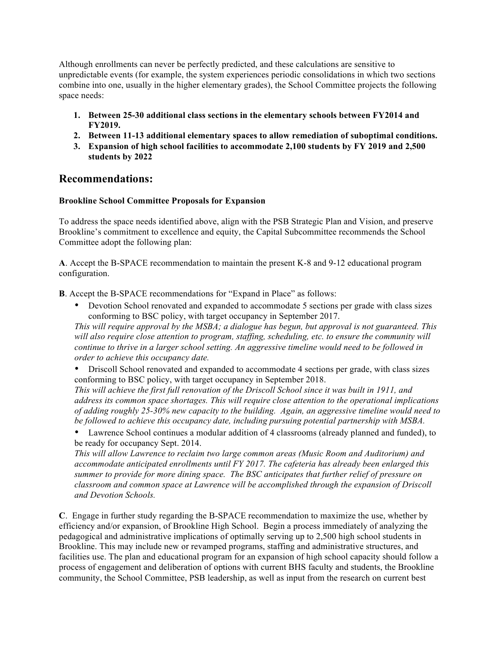Although enrollments can never be perfectly predicted, and these calculations are sensitive to unpredictable events (for example, the system experiences periodic consolidations in which two sections combine into one, usually in the higher elementary grades), the School Committee projects the following space needs:

- **1. Between 25-30 additional class sections in the elementary schools between FY2014 and FY2019.**
- **2. Between 11-13 additional elementary spaces to allow remediation of suboptimal conditions.**
- **3. Expansion of high school facilities to accommodate 2,100 students by FY 2019 and 2,500 students by 2022**

### **Recommendations:**

#### **Brookline School Committee Proposals for Expansion**

To address the space needs identified above, align with the PSB Strategic Plan and Vision, and preserve Brookline's commitment to excellence and equity, the Capital Subcommittee recommends the School Committee adopt the following plan:

**A**. Accept the B-SPACE recommendation to maintain the present K-8 and 9-12 educational program configuration.

**B**. Accept the B-SPACE recommendations for "Expand in Place" as follows:

• Devotion School renovated and expanded to accommodate 5 sections per grade with class sizes conforming to BSC policy, with target occupancy in September 2017.

*This will require approval by the MSBA; a dialogue has begun, but approval is not guaranteed. This will also require close attention to program, staffing, scheduling, etc. to ensure the community will continue to thrive in a larger school setting. An aggressive timeline would need to be followed in order to achieve this occupancy date.*

• Driscoll School renovated and expanded to accommodate 4 sections per grade, with class sizes conforming to BSC policy, with target occupancy in September 2018.

*This will achieve the first full renovation of the Driscoll School since it was built in 1911, and address its common space shortages. This will require close attention to the operational implications of adding roughly 25-30% new capacity to the building. Again, an aggressive timeline would need to be followed to achieve this occupancy date, including pursuing potential partnership with MSBA.*

• Lawrence School continues a modular addition of 4 classrooms (already planned and funded), to be ready for occupancy Sept. 2014.

*This will allow Lawrence to reclaim two large common areas (Music Room and Auditorium) and accommodate anticipated enrollments until FY 2017. The cafeteria has already been enlarged this summer to provide for more dining space. The BSC anticipates that further relief of pressure on classroom and common space at Lawrence will be accomplished through the expansion of Driscoll and Devotion Schools.*

**C**. Engage in further study regarding the B-SPACE recommendation to maximize the use, whether by efficiency and/or expansion, of Brookline High School. Begin a process immediately of analyzing the pedagogical and administrative implications of optimally serving up to 2,500 high school students in Brookline. This may include new or revamped programs, staffing and administrative structures, and facilities use. The plan and educational program for an expansion of high school capacity should follow a process of engagement and deliberation of options with current BHS faculty and students, the Brookline community, the School Committee, PSB leadership, as well as input from the research on current best